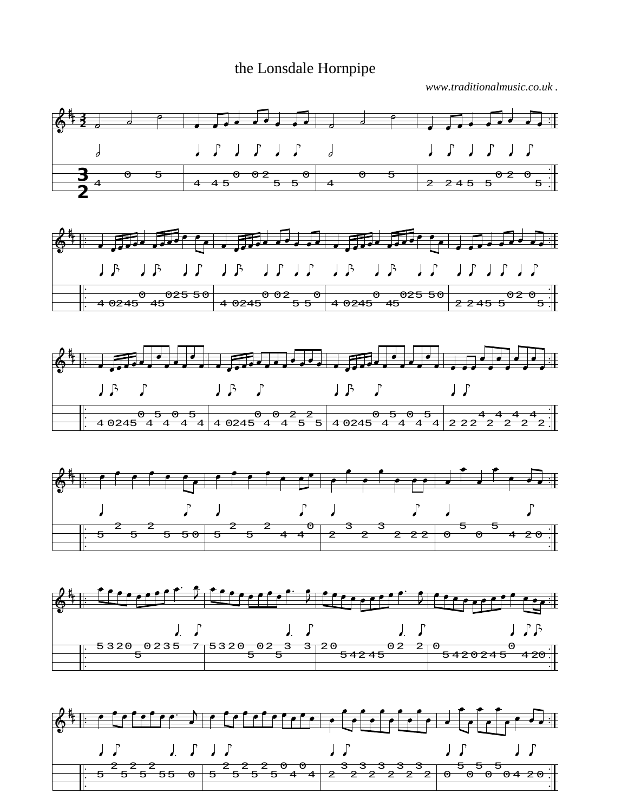## the Lonsdale Hornpipe

*www.traditionalmusic.co.uk .*